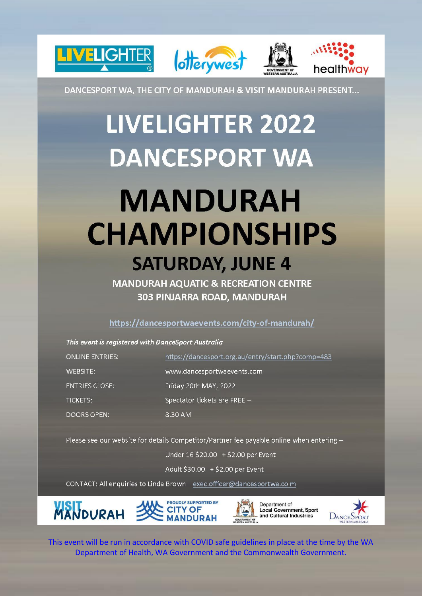

DANCESPORT WA, THE CITY OF MANDURAH & VISIT MANDURAH PRESENT...

# **LIVELIGHTER 2022 DANCESPORT WA MANDURAH CHAMPIONSHIPS SATURDAY, JUNE 4**

**MANDURAH AQUATIC & RECREATION CENTRE** 303 PINJARRA ROAD, MANDURAH

### https://dancesportwaevents.com/city-of-mandurah/

| This event is registered with DanceSport Australia |                                                    |  |
|----------------------------------------------------|----------------------------------------------------|--|
| <b>ONLINE ENTRIES:</b>                             | https://dancesport.org.au/entry/start.php?comp=483 |  |
| WEBSITE:                                           | www.dancesportwaevents.com                         |  |
| <b>ENTRIES CLOSE:</b>                              | Friday 20th MAY, 2022                              |  |
| <b>TICKETS:</b>                                    | Spectator tickets are FREE -                       |  |
| DOORS OPEN:                                        | 8.30 AM                                            |  |

Please see our website for details Competitor/Partner fee payable online when entering -

Under 16 \$20.00 + \$2.00 per Event

Adult \$30.00 + \$2.00 per Event

CONTACT: All enquiries to Linda Brown exec.officer@dancesportwa.com

**PROUDLY SUPPORTED BY MANDURAH CITY OF** 





This event will be run in accordance with COVID safe guidelines in place at the time by the WA Department of Health, WA Government and the Commonwealth Government.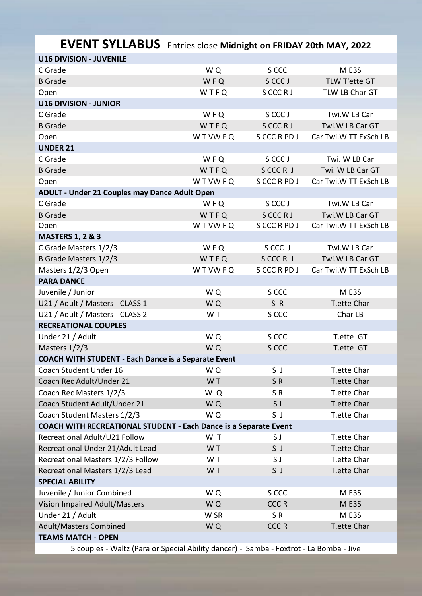| L V LINT OT LLADOS ENTRES CIOSE MINIMISME ON FRIDAT ZULIT MIAT, ZUZZ |       |              |                       |  |  |
|----------------------------------------------------------------------|-------|--------------|-----------------------|--|--|
| <b>U16 DIVISION - JUVENILE</b>                                       |       |              |                       |  |  |
| C Grade                                                              | WQ    | S CCC        | ME3S                  |  |  |
| <b>B</b> Grade                                                       | WFQ   | S CCC J      | TLW T'ette GT         |  |  |
| Open                                                                 | WTFQ  | S CCC R J    | TLW LB Char GT        |  |  |
| <b>U16 DIVISION - JUNIOR</b>                                         |       |              |                       |  |  |
| C Grade                                                              | WFQ   | S CCC J      | Twi.W LB Car          |  |  |
| <b>B</b> Grade                                                       | WTFQ  | S CCC R J    | Twi.W LB Car GT       |  |  |
| Open                                                                 | WTWFQ | S CCC R PD J | Car Twi.W TT ExSch LB |  |  |
| <b>UNDER 21</b>                                                      |       |              |                       |  |  |
| C Grade                                                              | WFQ   | S CCC J      | Twi. W LB Car         |  |  |
| <b>B</b> Grade                                                       | WTFQ  | SCCCR J      | Twi. W LB Car GT      |  |  |
| Open                                                                 | WTWFQ | S CCC R PD J | Car Twi.W TT ExSch LB |  |  |
| ADULT - Under 21 Couples may Dance Adult Open                        |       |              |                       |  |  |
| C Grade                                                              | WFQ   | S CCC J      | Twi.W LB Car          |  |  |
| <b>B</b> Grade                                                       | WTFQ  | S CCC R J    | Twi.W LB Car GT       |  |  |
| Open                                                                 | WTWFQ | S CCC R PD J | Car Twi.W TT ExSch LB |  |  |
| <b>MASTERS 1, 2 &amp; 3</b>                                          |       |              |                       |  |  |
| C Grade Masters 1/2/3                                                | WFQ   | S CCC J      | Twi.W LB Car          |  |  |
| B Grade Masters 1/2/3                                                | WTFQ  | SCCCR J      | Twi.W LB Car GT       |  |  |
| Masters 1/2/3 Open                                                   | WTWFQ | S CCC R PD J | Car Twi.W TT ExSch LB |  |  |
| <b>PARA DANCE</b>                                                    |       |              |                       |  |  |
| Juvenile / Junior                                                    | WQ    | S CCC        | ME3S                  |  |  |
| U21 / Adult / Masters - CLASS 1                                      | WQ    | SR           | T.ette Char           |  |  |
| U21 / Adult / Masters - CLASS 2                                      | WT    | S CCC        | Char LB               |  |  |
| <b>RECREATIONAL COUPLES</b>                                          |       |              |                       |  |  |
| Under 21 / Adult                                                     | WQ    | S CCC        | T.ette GT             |  |  |
| Masters 1/2/3                                                        | WQ    | S CCC        | T.ette GT             |  |  |
| <b>COACH WITH STUDENT - Each Dance is a Separate Event</b>           |       |              |                       |  |  |
| Coach Student Under 16                                               | WQ    | S J          | T.ette Char           |  |  |
| Coach Rec Adult/Under 21                                             | WT    | SR           | T.ette Char           |  |  |
| Coach Rec Masters 1/2/3                                              | WQ    | SR           | T.ette Char           |  |  |
| Coach Student Adult/Under 21                                         | WQ    | S J          | T.ette Char           |  |  |
| Coach Student Masters 1/2/3                                          | WQ    | S J          | T.ette Char           |  |  |
| COACH WITH RECREATIONAL STUDENT - Each Dance is a Separate Event     |       |              |                       |  |  |
| Recreational Adult/U21 Follow                                        | WT    | S J          | T.ette Char           |  |  |
| Recreational Under 21/Adult Lead                                     | WT    | SJ           | T.ette Char           |  |  |
| Recreational Masters 1/2/3 Follow                                    | WT    | S J          | T.ette Char           |  |  |
| Recreational Masters 1/2/3 Lead                                      | WT    | S J          | T.ette Char           |  |  |
| <b>SPECIAL ABILITY</b>                                               |       |              |                       |  |  |
| Juvenile / Junior Combined                                           | WQ    | S CCC        | M E3S                 |  |  |
| Vision Impaired Adult/Masters                                        | WQ    | <b>CCCR</b>  | ME3S                  |  |  |
| Under 21 / Adult                                                     | W SR  | SR           | M E3S                 |  |  |
| <b>Adult/Masters Combined</b>                                        | WQ    | <b>CCCR</b>  | T.ette Char           |  |  |
| <b>TEAMS MATCH - OPEN</b>                                            |       |              |                       |  |  |
|                                                                      |       |              |                       |  |  |

# **EVENT SYLLABUS** Entries close **Midnight on FRIDAY 20th MAY, 2022**

5 couples - Waltz (Para or Special Ability dancer) - Samba - Foxtrot - La Bomba - Jive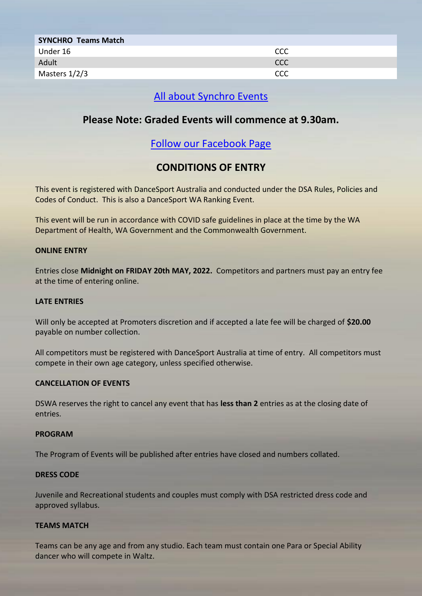| <b>SYNCHRO Teams Match</b> |     |
|----------------------------|-----|
| Under 16                   | CCC |
| Adult                      | CCC |
| Masters 1/2/3              | CCC |

# [All about Synchro Events](https://dancesport.org.au/div_synchro/sync_about.php)

# **Please Note: Graded Events will commence at 9.30am.**

# [Follow our Facebook Page](https://www.facebook.com/mandurahchampionships)

# **CONDITIONS OF ENTRY**

This event is registered with DanceSport Australia and conducted under the DSA Rules, Policies and Codes of Conduct. This is also a DanceSport WA Ranking Event.

This event will be run in accordance with COVID safe guidelines in place at the time by the WA Department of Health, WA Government and the Commonwealth Government.

#### **ONLINE ENTRY**

Entries close **Midnight on FRIDAY 20th MAY, 2022.** Competitors and partners must pay an entry fee at the time of entering online.

#### **LATE ENTRIES**

Will only be accepted at Promoters discretion and if accepted a late fee will be charged of **\$20.00** payable on number collection.

All competitors must be registered with DanceSport Australia at time of entry. All competitors must compete in their own age category, unless specified otherwise.

#### **CANCELLATION OF EVENTS**

DSWA reserves the right to cancel any event that has **less than 2** entries as at the closing date of entries.

#### **PROGRAM**

The Program of Events will be published after entries have closed and numbers collated.

#### **DRESS CODE**

Juvenile and Recreational students and couples must comply with DSA restricted dress code and approved syllabus.

#### **TEAMS MATCH**

Teams can be any age and from any studio. Each team must contain one Para or Special Ability dancer who will compete in Waltz.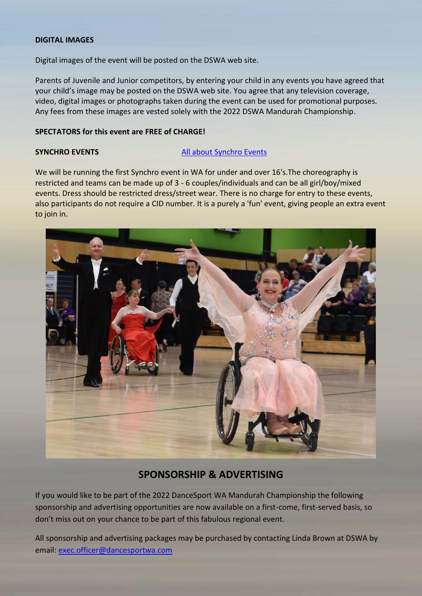#### **DIGITAL IMAGES**

Digital images of the event will be posted on the DSWA web site.

Parents of Juvenile and Junior competitors, by entering your child in any events you have agreed that your child's image may be posted on the DSWA web site. You agree that any television coverage, video, digital images or photographs taken during the event can be used for promotional purposes. Any fees from these images are vested solely with the 2022 DSWA Mandurah Championship.

#### **SPECTATORS for this event are FREE of CHARGE!**

#### **SYNCHRO EVENTS [All about Synchro Events](https://dancesport.org.au/div_synchro/sync_about.php)**

We will be running the first Synchro event in WA for under and over 16's. The choreography is restricted and teams can be made up of 3 - 6 couples/individuals and can be all girl/boy/mixed events. Dress should be restricted dress/street wear. There is no charge for entry to these events, also participants do not require a CID number. It is a purely a 'fun' event, giving people an extra event to join in.



## **SPONSORSHIP & ADVERTISING**

If you would like to be part of the 2022 DanceSport WA Mandurah Championship the following sponsorship and advertising opportunities are now available on a first-come, first-served basis, so don't miss out on your chance to be part of this fabulous regional event.

All sponsorship and advertising packages may be purchased by contacting Linda Brown at DSWA by email: [exec.officer@dancesportwa.com](mailto:exec.officer@dancesportwa.com)